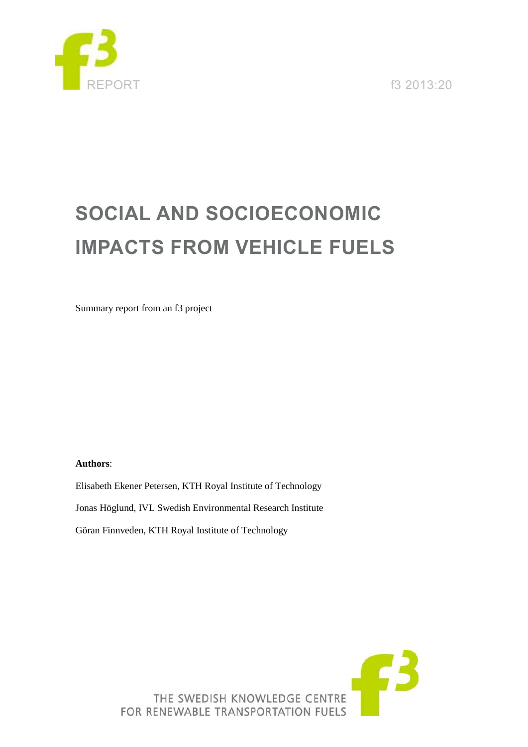

REPORT f3 2013:20

# **SOCIAL AND SOCIOECONOMIC IMPACTS FROM VEHICLE FUELS**

Summary report from an f3 project

### **Authors**:

Elisabeth Ekener Petersen, KTH Royal Institute of Technology Jonas Höglund, IVL Swedish Environmental Research Institute

Göran Finnveden, KTH Royal Institute of Technology

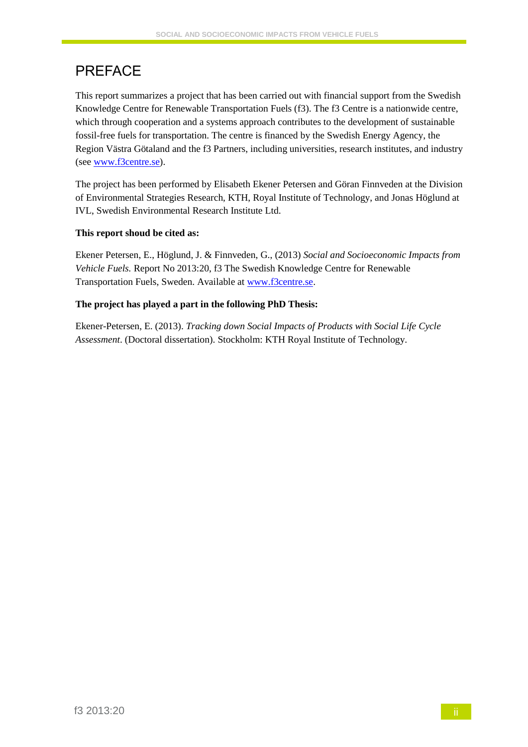# PREFACE

This report summarizes a project that has been carried out with financial support from the Swedish Knowledge Centre for Renewable Transportation Fuels (f3). The f3 Centre is a nationwide centre, which through cooperation and a systems approach contributes to the development of sustainable fossil-free fuels for transportation. The centre is financed by the Swedish Energy Agency, the Region Västra Götaland and the f3 Partners, including universities, research institutes, and industry (see [www.f3centre.se\)](http://www.f3centre.se/).

The project has been performed by Elisabeth Ekener Petersen and Göran Finnveden at the Division of Environmental Strategies Research, KTH, Royal Institute of Technology, and Jonas Höglund at IVL, Swedish Environmental Research Institute Ltd.

## **This report shoud be cited as:**

Ekener Petersen, E., Höglund, J. & Finnveden, G., (2013) *Social and Socioeconomic Impacts from Vehicle Fuels.* Report No 2013:20, f3 The Swedish Knowledge Centre for Renewable Transportation Fuels, Sweden. Available at [www.f3centre.se.](http://www.f3centre.se/)

## **The project has played a part in the following PhD Thesis:**

Ekener-Petersen, E. (2013). *Tracking down Social Impacts of Products with Social Life Cycle Assessment*. (Doctoral dissertation). Stockholm: KTH Royal Institute of Technology.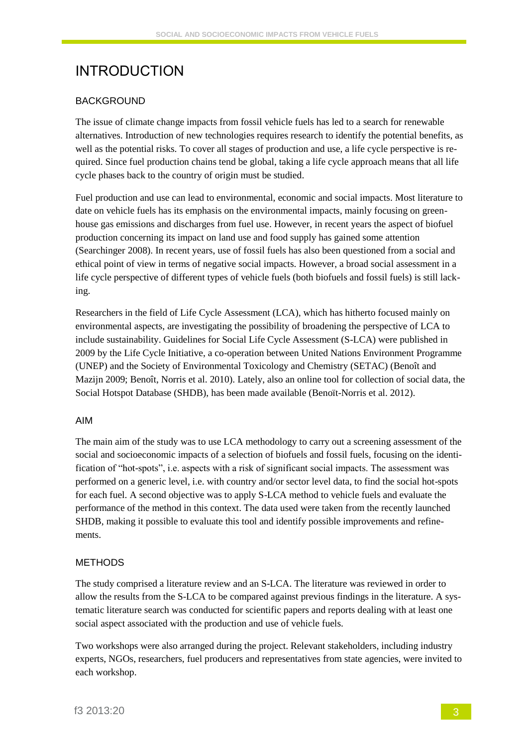# INTRODUCTION

#### BACKGROUND

The issue of climate change impacts from fossil vehicle fuels has led to a search for renewable alternatives. Introduction of new technologies requires research to identify the potential benefits, as well as the potential risks. To cover all stages of production and use, a life cycle perspective is required. Since fuel production chains tend be global, taking a life cycle approach means that all life cycle phases back to the country of origin must be studied.

Fuel production and use can lead to environmental, economic and social impacts. Most literature to date on vehicle fuels has its emphasis on the environmental impacts, mainly focusing on greenhouse gas emissions and discharges from fuel use. However, in recent years the aspect of biofuel production concerning its impact on land use and food supply has gained some attention (Searchinger 2008). In recent years, use of fossil fuels has also been questioned from a social and ethical point of view in terms of negative social impacts. However, a broad social assessment in a life cycle perspective of different types of vehicle fuels (both biofuels and fossil fuels) is still lacking.

Researchers in the field of Life Cycle Assessment (LCA), which has hitherto focused mainly on environmental aspects, are investigating the possibility of broadening the perspective of LCA to include sustainability. Guidelines for Social Life Cycle Assessment (S-LCA) were published in 2009 by the Life Cycle Initiative, a co-operation between United Nations Environment Programme (UNEP) and the Society of Environmental Toxicology and Chemistry (SETAC) (Benoît and Mazijn 2009; Benoît, Norris et al. 2010). Lately, also an online tool for collection of social data, the Social Hotspot Database (SHDB), has been made available (Benoït-Norris et al. 2012).

#### AIM

The main aim of the study was to use LCA methodology to carry out a screening assessment of the social and socioeconomic impacts of a selection of biofuels and fossil fuels, focusing on the identification of "hot-spots", i.e. aspects with a risk of significant social impacts. The assessment was performed on a generic level, i.e. with country and/or sector level data, to find the social hot-spots for each fuel. A second objective was to apply S-LCA method to vehicle fuels and evaluate the performance of the method in this context. The data used were taken from the recently launched SHDB, making it possible to evaluate this tool and identify possible improvements and refinements.

#### METHODS

The study comprised a literature review and an S-LCA. The literature was reviewed in order to allow the results from the S-LCA to be compared against previous findings in the literature. A systematic literature search was conducted for scientific papers and reports dealing with at least one social aspect associated with the production and use of vehicle fuels.

Two workshops were also arranged during the project. Relevant stakeholders, including industry experts, NGOs, researchers, fuel producers and representatives from state agencies, were invited to each workshop.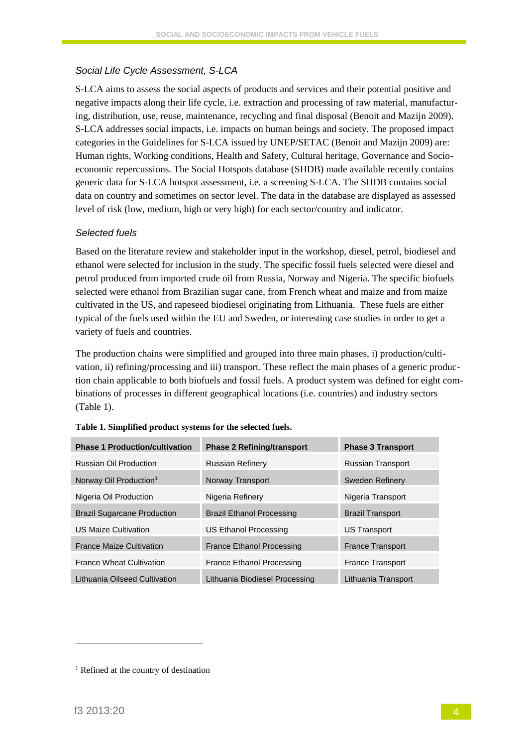## *Social Life Cycle Assessment, S-LCA*

S-LCA aims to assess the social aspects of products and services and their potential positive and negative impacts along their life cycle, i.e. extraction and processing of raw material, manufacturing, distribution, use, reuse, maintenance, recycling and final disposal (Benoit and Mazijn 2009). S-LCA addresses social impacts, i.e. impacts on human beings and society. The proposed impact categories in the Guidelines for S-LCA issued by UNEP/SETAC (Benoit and Mazijn 2009) are: Human rights, Working conditions, Health and Safety, Cultural heritage, Governance and Socioeconomic repercussions. The Social Hotspots database (SHDB) made available recently contains generic data for S-LCA hotspot assessment, i.e. a screening S-LCA. The SHDB contains social data on country and sometimes on sector level. The data in the database are displayed as assessed level of risk (low, medium, high or very high) for each sector/country and indicator.

### *Selected fuels*

Based on the literature review and stakeholder input in the workshop, diesel, petrol, biodiesel and ethanol were selected for inclusion in the study. The specific fossil fuels selected were diesel and petrol produced from imported crude oil from Russia, Norway and Nigeria. The specific biofuels selected were ethanol from Brazilian sugar cane, from French wheat and maize and from maize cultivated in the US, and rapeseed biodiesel originating from Lithuania. These fuels are either typical of the fuels used within the EU and Sweden, or interesting case studies in order to get a variety of fuels and countries.

The production chains were simplified and grouped into three main phases, i) production/cultivation, ii) refining/processing and iii) transport. These reflect the main phases of a generic production chain applicable to both biofuels and fossil fuels. A product system was defined for eight combinations of processes in different geographical locations (i.e. countries) and industry sectors [\(Table 1\)](#page-3-0).

| <b>Phase 1 Production/cultivation</b> | <b>Phase 2 Refining/transport</b> | <b>Phase 3 Transport</b> |
|---------------------------------------|-----------------------------------|--------------------------|
| Russian Oil Production                | <b>Russian Refinery</b>           | <b>Russian Transport</b> |
| Norway Oil Production <sup>1</sup>    | Norway Transport                  | Sweden Refinery          |
| Nigeria Oil Production                | Nigeria Refinery                  | Nigeria Transport        |
| <b>Brazil Sugarcane Production</b>    | <b>Brazil Ethanol Processing</b>  | <b>Brazil Transport</b>  |
| <b>US Maize Cultivation</b>           | US Ethanol Processing             | US Transport             |
| <b>France Maize Cultivation</b>       | <b>France Ethanol Processing</b>  | <b>France Transport</b>  |
| <b>France Wheat Cultivation</b>       | <b>France Ethanol Processing</b>  | <b>France Transport</b>  |
| Lithuania Oilseed Cultivation         | Lithuania Biodiesel Processing    | Lithuania Transport      |

<span id="page-3-0"></span>

|  |  |  |  |  | Table 1. Simplified product systems for the selected fuels. |  |  |  |  |  |
|--|--|--|--|--|-------------------------------------------------------------|--|--|--|--|--|
|--|--|--|--|--|-------------------------------------------------------------|--|--|--|--|--|

-

<sup>&</sup>lt;sup>1</sup> Refined at the country of destination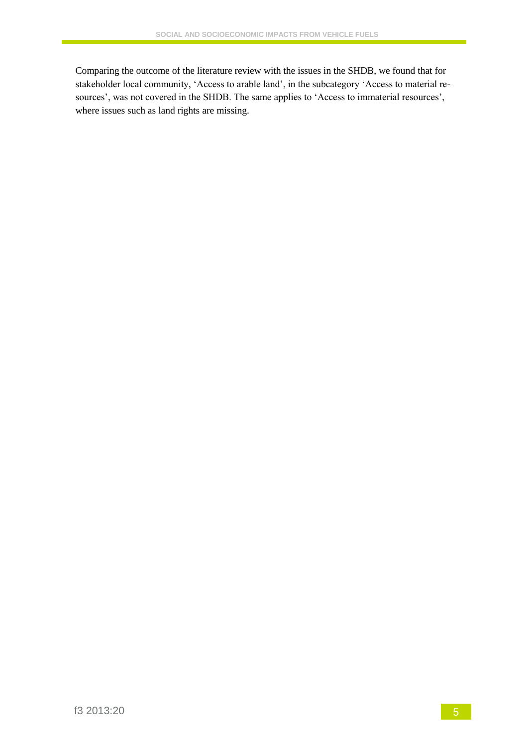Comparing the outcome of the literature review with the issues in the SHDB, we found that for stakeholder local community, 'Access to arable land', in the subcategory 'Access to material resources', was not covered in the SHDB. The same applies to 'Access to immaterial resources', where issues such as land rights are missing.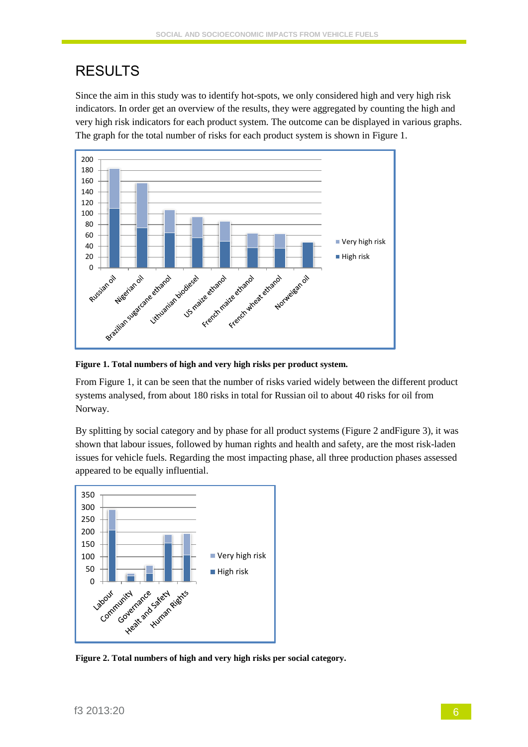# RESULTS

Since the aim in this study was to identify hot-spots, we only considered high and very high risk indicators. In order get an overview of the results, they were aggregated by counting the high and very high risk indicators for each product system. The outcome can be displayed in various graphs. The graph for the total number of risks for each product system is shown in [Figure 1.](#page-5-0)



<span id="page-5-0"></span>**Figure 1. Total numbers of high and very high risks per product system.**

Fro[m Figure 1,](#page-5-0) it can be seen that the number of risks varied widely between the different product systems analysed, from about 180 risks in total for Russian oil to about 40 risks for oil from Norway.

By splitting by social category and by phase for all product systems [\(Figure 2](#page-5-1) an[dFigure 3\)](#page-6-0), it was shown that labour issues, followed by human rights and health and safety, are the most risk-laden issues for vehicle fuels. Regarding the most impacting phase, all three production phases assessed appeared to be equally influential.



<span id="page-5-1"></span>**Figure 2. Total numbers of high and very high risks per social category.**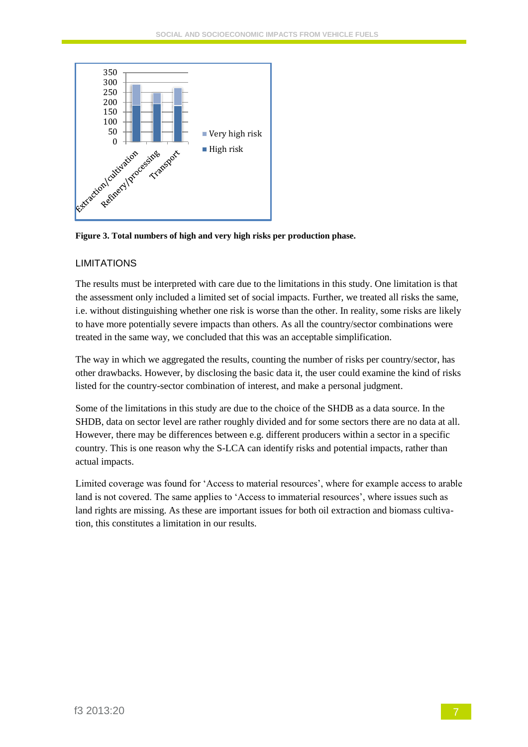

<span id="page-6-0"></span>**Figure 3. Total numbers of high and very high risks per production phase.**

### LIMITATIONS

The results must be interpreted with care due to the limitations in this study. One limitation is that the assessment only included a limited set of social impacts. Further, we treated all risks the same, i.e. without distinguishing whether one risk is worse than the other. In reality, some risks are likely to have more potentially severe impacts than others. As all the country/sector combinations were treated in the same way, we concluded that this was an acceptable simplification.

The way in which we aggregated the results, counting the number of risks per country/sector, has other drawbacks. However, by disclosing the basic data it, the user could examine the kind of risks listed for the country-sector combination of interest, and make a personal judgment.

Some of the limitations in this study are due to the choice of the SHDB as a data source. In the SHDB, data on sector level are rather roughly divided and for some sectors there are no data at all. However, there may be differences between e.g. different producers within a sector in a specific country. This is one reason why the S-LCA can identify risks and potential impacts, rather than actual impacts.

Limited coverage was found for 'Access to material resources', where for example access to arable land is not covered. The same applies to 'Access to immaterial resources', where issues such as land rights are missing. As these are important issues for both oil extraction and biomass cultivation, this constitutes a limitation in our results.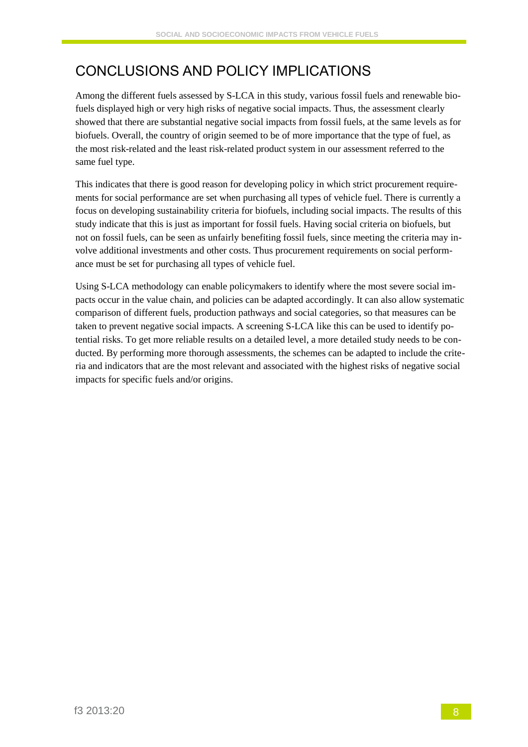# CONCLUSIONS AND POLICY IMPLICATIONS

Among the different fuels assessed by S-LCA in this study, various fossil fuels and renewable biofuels displayed high or very high risks of negative social impacts. Thus, the assessment clearly showed that there are substantial negative social impacts from fossil fuels, at the same levels as for biofuels. Overall, the country of origin seemed to be of more importance that the type of fuel, as the most risk-related and the least risk-related product system in our assessment referred to the same fuel type.

This indicates that there is good reason for developing policy in which strict procurement requirements for social performance are set when purchasing all types of vehicle fuel. There is currently a focus on developing sustainability criteria for biofuels, including social impacts. The results of this study indicate that this is just as important for fossil fuels. Having social criteria on biofuels, but not on fossil fuels, can be seen as unfairly benefiting fossil fuels, since meeting the criteria may involve additional investments and other costs. Thus procurement requirements on social performance must be set for purchasing all types of vehicle fuel.

Using S-LCA methodology can enable policymakers to identify where the most severe social impacts occur in the value chain, and policies can be adapted accordingly. It can also allow systematic comparison of different fuels, production pathways and social categories, so that measures can be taken to prevent negative social impacts. A screening S-LCA like this can be used to identify potential risks. To get more reliable results on a detailed level, a more detailed study needs to be conducted. By performing more thorough assessments, the schemes can be adapted to include the criteria and indicators that are the most relevant and associated with the highest risks of negative social impacts for specific fuels and/or origins.